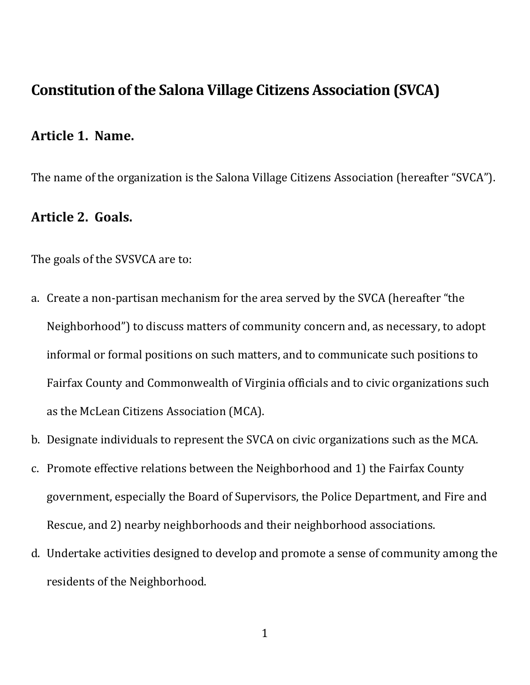# Constitution of the Salona Village Citizens Association (SVCA)

#### Article 1. Name.

The name of the organization is the Salona Village Citizens Association (hereafter "SVCA").

## Article 2. Goals.

The goals of the SVSVCA are to:

- a. Create a non-partisan mechanism for the area served by the SVCA (hereafter "the Neighborhood") to discuss matters of community concern and, as necessary, to adopt informal or formal positions on such matters, and to communicate such positions to Fairfax County and Commonwealth of Virginia officials and to civic organizations such as the McLean Citizens Association (MCA).
- b. Designate individuals to represent the SVCA on civic organizations such as the MCA.
- c. Promote effective relations between the Neighborhood and 1) the Fairfax County government, especially the Board of Supervisors, the Police Department, and Fire and Rescue, and 2) nearby neighborhoods and their neighborhood associations.
- d. Undertake activities designed to develop and promote a sense of community among the residents of the Neighborhood.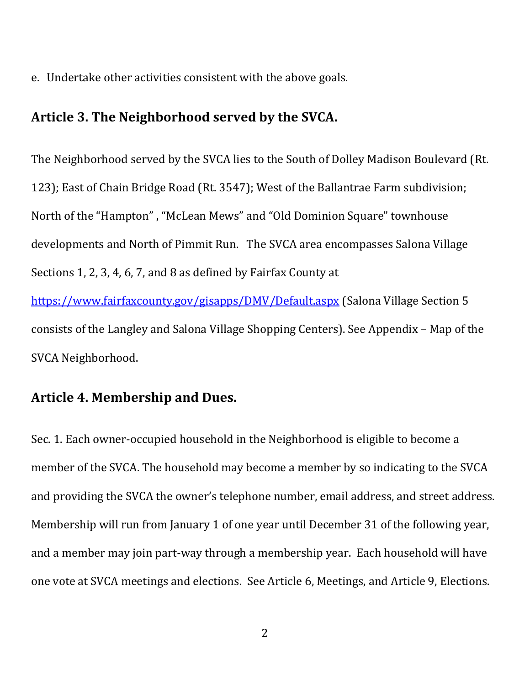e. Undertake other activities consistent with the above goals.

### Article 3. The Neighborhood served by the SVCA.

The Neighborhood served by the SVCA lies to the South of Dolley Madison Boulevard (Rt. 123); East of Chain Bridge Road (Rt. 3547); West of the Ballantrae Farm subdivision; North of the "Hampton" , "McLean Mews" and "Old Dominion Square" townhouse developments and North of Pimmit Run. The SVCA area encompasses Salona Village Sections 1, 2, 3, 4, 6, 7, and 8 as defined by Fairfax County at https://www.fairfaxcounty.gov/gisapps/DMV/Default.aspx (Salona Village Section 5 consists of the Langley and Salona Village Shopping Centers). See Appendix – Map of the SVCA Neighborhood.

#### Article 4. Membership and Dues.

Sec. 1. Each owner-occupied household in the Neighborhood is eligible to become a member of the SVCA. The household may become a member by so indicating to the SVCA and providing the SVCA the owner's telephone number, email address, and street address. Membership will run from January 1 of one year until December 31 of the following year, and a member may join part-way through a membership year. Each household will have one vote at SVCA meetings and elections. See Article 6, Meetings, and Article 9, Elections.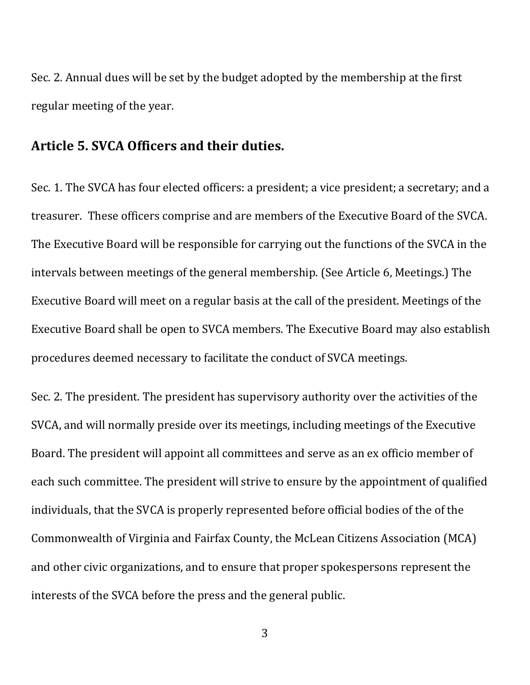Sec. 2. Annual dues will be set by the budget adopted by the membership at the first regular meeting of the year.

#### Article 5. SVCA Officers and their duties.

Sec. 1. The SVCA has four elected officers: a president; a vice president; a secretary; and a treasurer. These officers comprise and are members of the Executive Board of the SVCA. The Executive Board will be responsible for carrying out the functions of the SVCA in the intervals between meetings of the general membership. (See Article 6, Meetings.) The Executive Board will meet on a regular basis at the call of the president. Meetings of the Executive Board shall be open to SVCA members. The Executive Board may also establish procedures deemed necessary to facilitate the conduct of SVCA meetings.

Sec. 2. The president. The president has supervisory authority over the activities of the SVCA, and will normally preside over its meetings, including meetings of the Executive Board. The president will appoint all committees and serve as an ex officio member of each such committee. The president will strive to ensure by the appointment of qualified individuals, that the SVCA is properly represented before official bodies of the of the Commonwealth of Virginia and Fairfax County, the McLean Citizens Association (MCA) and other civic organizations, and to ensure that proper spokespersons represent the interests of the SVCA before the press and the general public.

3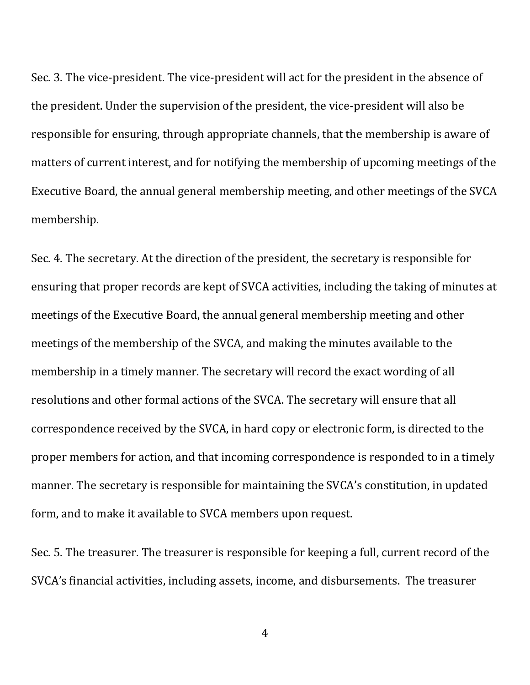Sec. 3. The vice-president. The vice-president will act for the president in the absence of the president. Under the supervision of the president, the vice-president will also be responsible for ensuring, through appropriate channels, that the membership is aware of matters of current interest, and for notifying the membership of upcoming meetings of the Executive Board, the annual general membership meeting, and other meetings of the SVCA membership.

Sec. 4. The secretary. At the direction of the president, the secretary is responsible for ensuring that proper records are kept of SVCA activities, including the taking of minutes at meetings of the Executive Board, the annual general membership meeting and other meetings of the membership of the SVCA, and making the minutes available to the membership in a timely manner. The secretary will record the exact wording of all resolutions and other formal actions of the SVCA. The secretary will ensure that all correspondence received by the SVCA, in hard copy or electronic form, is directed to the proper members for action, and that incoming correspondence is responded to in a timely manner. The secretary is responsible for maintaining the SVCA's constitution, in updated form, and to make it available to SVCA members upon request.

Sec. 5. The treasurer. The treasurer is responsible for keeping a full, current record of the SVCA's financial activities, including assets, income, and disbursements. The treasurer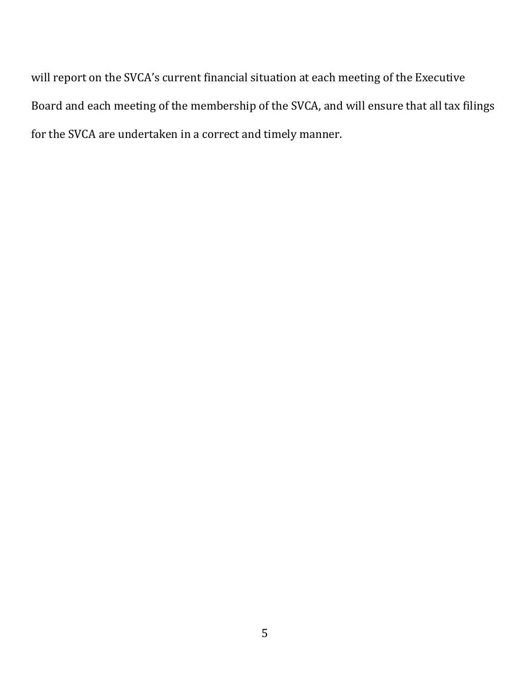will report on the SVCA's current financial situation at each meeting of the Executive Board and each meeting of the membership of the SVCA, and will ensure that all tax filings for the SVCA are undertaken in a correct and timely manner.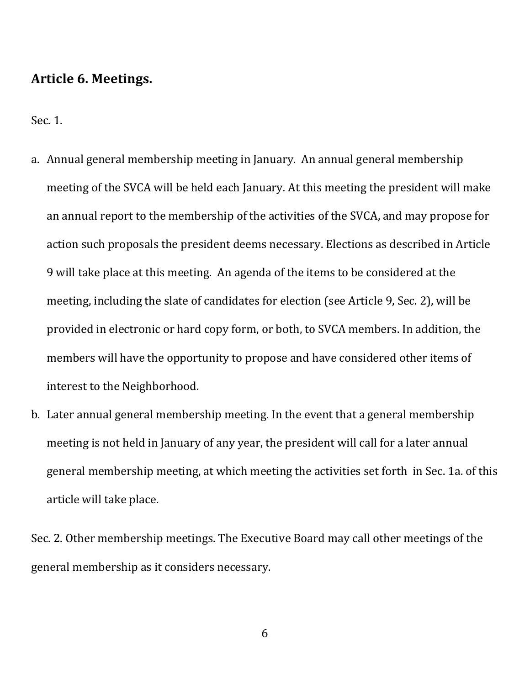### Article 6. Meetings.

Sec. 1.

- a. Annual general membership meeting in January. An annual general membership meeting of the SVCA will be held each January. At this meeting the president will make an annual report to the membership of the activities of the SVCA, and may propose for action such proposals the president deems necessary. Elections as described in Article 9 will take place at this meeting. An agenda of the items to be considered at the meeting, including the slate of candidates for election (see Article 9, Sec. 2), will be provided in electronic or hard copy form, or both, to SVCA members. In addition, the members will have the opportunity to propose and have considered other items of interest to the Neighborhood.
- b. Later annual general membership meeting. In the event that a general membership meeting is not held in January of any year, the president will call for a later annual general membership meeting, at which meeting the activities set forth in Sec. 1a. of this article will take place.

Sec. 2. Other membership meetings. The Executive Board may call other meetings of the general membership as it considers necessary.

6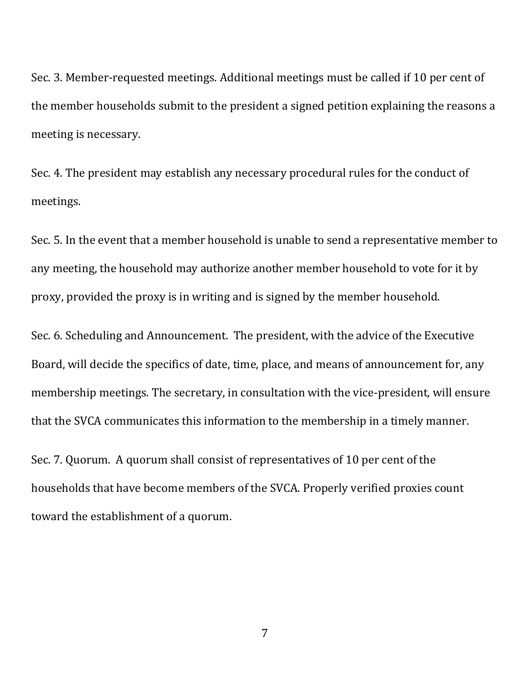Sec. 3. Member-requested meetings. Additional meetings must be called if 10 per cent of the member households submit to the president a signed petition explaining the reasons a meeting is necessary.

Sec. 4. The president may establish any necessary procedural rules for the conduct of meetings.

Sec. 5. In the event that a member household is unable to send a representative member to any meeting, the household may authorize another member household to vote for it by proxy, provided the proxy is in writing and is signed by the member household.

Sec. 6. Scheduling and Announcement. The president, with the advice of the Executive Board, will decide the specifics of date, time, place, and means of announcement for, any membership meetings. The secretary, in consultation with the vice-president, will ensure that the SVCA communicates this information to the membership in a timely manner.

Sec. 7. Quorum. A quorum shall consist of representatives of 10 per cent of the households that have become members of the SVCA. Properly verified proxies count toward the establishment of a quorum.

7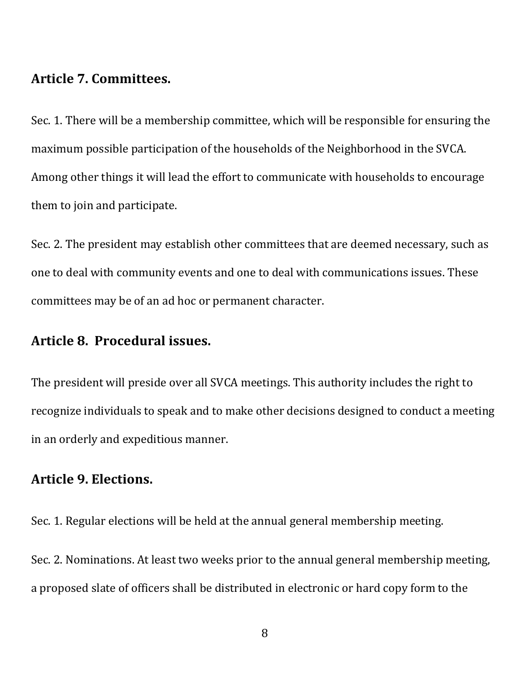# Article 7. Committees.

Sec. 1. There will be a membership committee, which will be responsible for ensuring the maximum possible participation of the households of the Neighborhood in the SVCA. Among other things it will lead the effort to communicate with households to encourage them to join and participate.

Sec. 2. The president may establish other committees that are deemed necessary, such as one to deal with community events and one to deal with communications issues. These committees may be of an ad hoc or permanent character.

# Article 8. Procedural issues.

The president will preside over all SVCA meetings. This authority includes the right to recognize individuals to speak and to make other decisions designed to conduct a meeting in an orderly and expeditious manner.

# Article 9. Elections.

Sec. 1. Regular elections will be held at the annual general membership meeting.

Sec. 2. Nominations. At least two weeks prior to the annual general membership meeting, a proposed slate of officers shall be distributed in electronic or hard copy form to the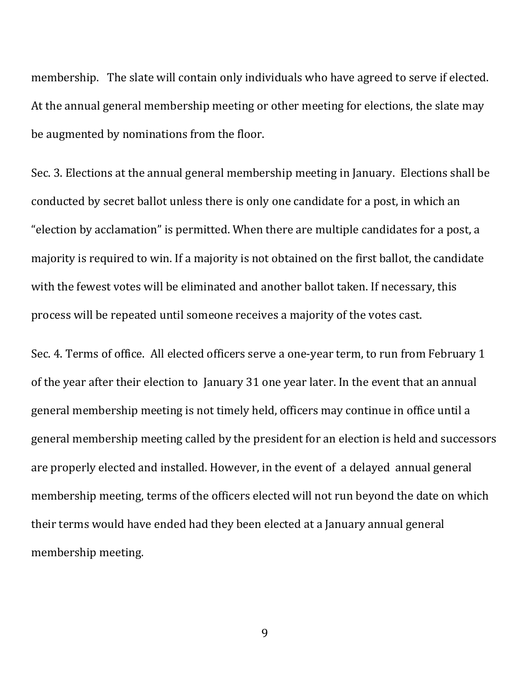membership. The slate will contain only individuals who have agreed to serve if elected. At the annual general membership meeting or other meeting for elections, the slate may be augmented by nominations from the floor.

Sec. 3. Elections at the annual general membership meeting in January. Elections shall be conducted by secret ballot unless there is only one candidate for a post, in which an "election by acclamation" is permitted. When there are multiple candidates for a post, a majority is required to win. If a majority is not obtained on the first ballot, the candidate with the fewest votes will be eliminated and another ballot taken. If necessary, this process will be repeated until someone receives a majority of the votes cast.

Sec. 4. Terms of office. All elected officers serve a one-year term, to run from February 1 of the year after their election to January 31 one year later. In the event that an annual general membership meeting is not timely held, officers may continue in office until a general membership meeting called by the president for an election is held and successors are properly elected and installed. However, in the event of a delayed annual general membership meeting, terms of the officers elected will not run beyond the date on which their terms would have ended had they been elected at a January annual general membership meeting.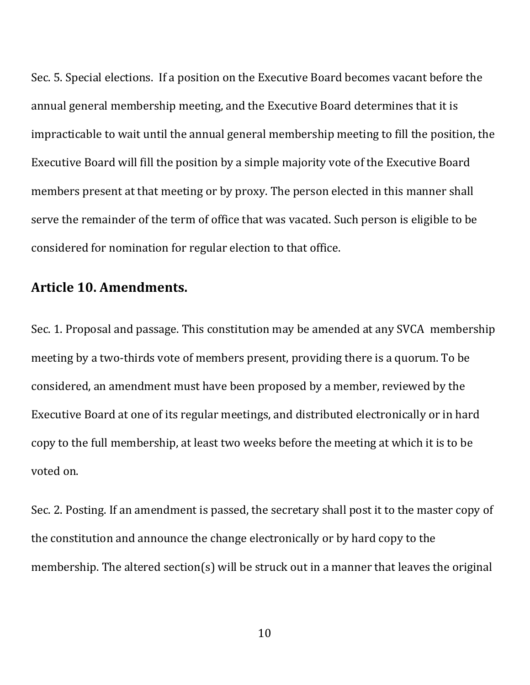Sec. 5. Special elections. If a position on the Executive Board becomes vacant before the annual general membership meeting, and the Executive Board determines that it is impracticable to wait until the annual general membership meeting to fill the position, the Executive Board will fill the position by a simple majority vote of the Executive Board members present at that meeting or by proxy. The person elected in this manner shall serve the remainder of the term of office that was vacated. Such person is eligible to be considered for nomination for regular election to that office.

#### Article 10. Amendments.

Sec. 1. Proposal and passage. This constitution may be amended at any SVCA membership meeting by a two-thirds vote of members present, providing there is a quorum. To be considered, an amendment must have been proposed by a member, reviewed by the Executive Board at one of its regular meetings, and distributed electronically or in hard copy to the full membership, at least two weeks before the meeting at which it is to be voted on.

Sec. 2. Posting. If an amendment is passed, the secretary shall post it to the master copy of the constitution and announce the change electronically or by hard copy to the membership. The altered section(s) will be struck out in a manner that leaves the original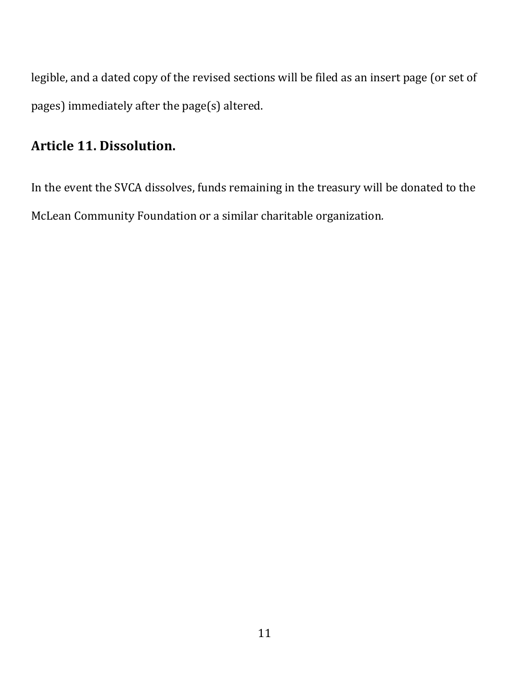legible, and a dated copy of the revised sections will be filed as an insert page (or set of pages) immediately after the page(s) altered.

# Article 11. Dissolution.

In the event the SVCA dissolves, funds remaining in the treasury will be donated to the McLean Community Foundation or a similar charitable organization.